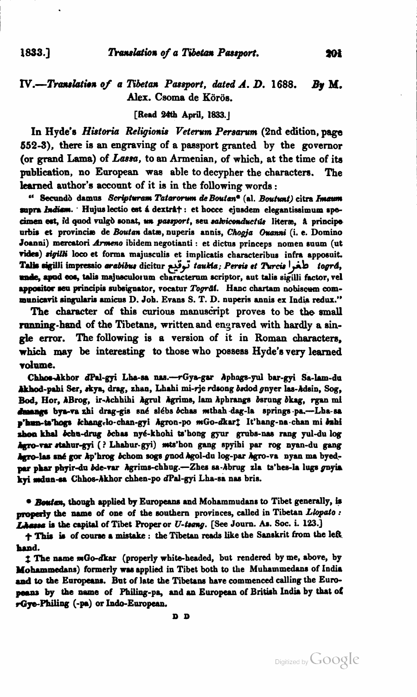1833.7

## $IV. - Translation of a Tibetan Passport, dated A. D. 1688.$ Bv M. Alex. Csoma de Körös.

## [Read 24th April, 1833.]

In Hyde's Historia Religionis Veterum Persarum (2nd edition, page 552-3), there is an engraving of a passport granted by the governor (or grand Lama) of Lassa, to an Armenian, of which, at the time of its publication, no European was able to decypher the characters. The learned author's account of it is in the following words:

" Secundò damus Scripturam Tatarorum de Boutan<sup>e</sup> (al. Boutunt) citra Imaum supra Indiam. Hujus lectio est á dextr↠: et hocce ejusdem elegantissimum specimen est, id quod vulgò sonat, un passport, seu salviconductus literæ, à principe urbis et provinciæ de Boutan datæ, nuperis annis, Chogja Ouanni (i. e. Domino Joanni) mercatori Armeno ibidem negotianti : et dictus princeps nomen suum (ut vides) sigilli loco et forma majusculis et implicatis characteribus infra apposuit. Talis sigilli impressio arabibus dicitur توقيع taukia; Persis et Purcis | أكفر tográ, unde, apud eos, talis majusculorum characterum scriptor, aut talis sigilli factor, vel appositor seu principis subsignator, vocatur Togråf. Hanc chartam nobiscum communicavit singularis amicus D. Joh. Evans S. T. D. nuperis annis ex India redux."

The character of this curious manuscript proves to be the small running-hand of the Tibetans, written and engraved with hardly a single error. The following is a version of it in Roman characters, which may be interesting to those who possess Hyde's very learned volume.

Chhos-Akhor dPal-gyi Lha-sa nas.-rGya-gar Aphags-yul bar-gyi Sa-lam-du Akhod-pahi Ser, skya, drag, zhan, Lhahi mi-rje rdsong bsdod gnyer las-Adsin, Sog, Bod, Hor, ABrog, ir-Achhihi Agrul Agrims, lam Aphrangs bsrung bkag, rgan mi duangs bya-va zhi drag-gis sné slébs ochas mthah dag-la springs pa.-Lha-sa p'hun-ts'hogs khang-lo-chan-gyi Agron-po mGo-dkart It'hang-na-chan mi bahi zhon khal čchu-drug čchas nyé-khohi ts'hong gyur grubs-nas rang yul-du log Agro-var stahur-gyi (? Lhahur-gyi) mts'hon gang spyihi par rog nyan-du gang hero-las sné gor kp'hrog bchom sogs gnod Agol-du log-par Agro-va nyan ma byedper phar phyir-du bde-var Agrims-chhug.-Zhes sa-Abrug zla ts'hes-la lugs gnyia kyi mdun-sa Chhos-Akhor chhen-po dPal-gyi Lha-sa nas bris.

\* Boutan, though applied by Europeans and Mohammudans to Tibet generally, is properly the name of one of the southern provinces, called in Tibetan Llopato: Lhassa is the capital of Tibet Proper or U-tsang. [See Journ. As. Soc. i. 123.]

+ This is of course a mistake : the Tibetan reads like the Sanskrit from the left hand.

1 The name mGo-dkar (properly white-headed, but rendered by me, above, by Mohammedans) formerly was applied in Tibet both to the Muhammedans of India and to the Europeans. But of late the Tibetans have commenced calling the Europeans by the name of Philing-pa, and an European of British India by that of rGye-Philing (-pa) or Indo-European.